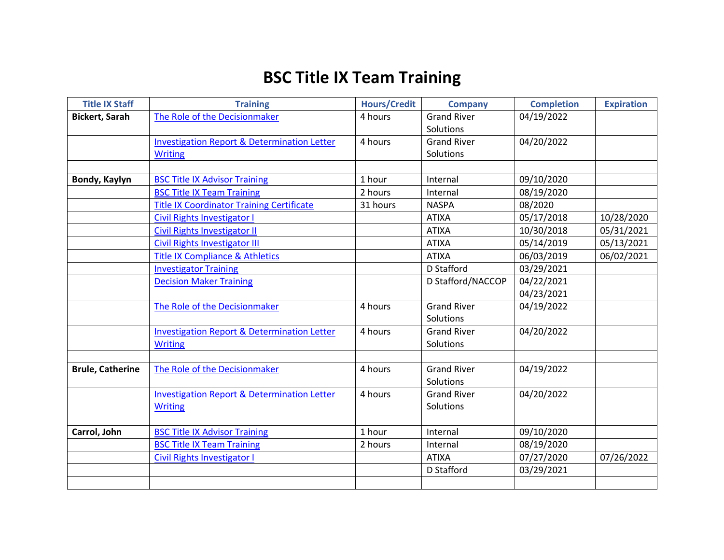## **BSC Title IX Team Training**

| <b>Title IX Staff</b>   | <b>Training</b>                                        | <b>Hours/Credit</b> | <b>Company</b>     | <b>Completion</b> | <b>Expiration</b> |
|-------------------------|--------------------------------------------------------|---------------------|--------------------|-------------------|-------------------|
| <b>Bickert, Sarah</b>   | The Role of the Decisionmaker                          | 4 hours             | <b>Grand River</b> | 04/19/2022        |                   |
|                         |                                                        |                     | Solutions          |                   |                   |
|                         | <b>Investigation Report &amp; Determination Letter</b> | 4 hours             | <b>Grand River</b> | 04/20/2022        |                   |
|                         | <b>Writing</b>                                         |                     | Solutions          |                   |                   |
|                         |                                                        |                     |                    |                   |                   |
| Bondy, Kaylyn           | <b>BSC Title IX Advisor Training</b>                   | 1 hour              | Internal           | 09/10/2020        |                   |
|                         | <b>BSC Title IX Team Training</b>                      | 2 hours             | Internal           | 08/19/2020        |                   |
|                         | <b>Title IX Coordinator Training Certificate</b>       | 31 hours            | <b>NASPA</b>       | 08/2020           |                   |
|                         | <b>Civil Rights Investigator I</b>                     |                     | <b>ATIXA</b>       | 05/17/2018        | 10/28/2020        |
|                         | <b>Civil Rights Investigator II</b>                    |                     | <b>ATIXA</b>       | 10/30/2018        | 05/31/2021        |
|                         | <b>Civil Rights Investigator III</b>                   |                     | <b>ATIXA</b>       | 05/14/2019        | 05/13/2021        |
|                         | <b>Title IX Compliance &amp; Athletics</b>             |                     | <b>ATIXA</b>       | 06/03/2019        | 06/02/2021        |
|                         | <b>Investigator Training</b>                           |                     | D Stafford         | 03/29/2021        |                   |
|                         | <b>Decision Maker Training</b>                         |                     | D Stafford/NACCOP  | 04/22/2021        |                   |
|                         |                                                        |                     |                    | 04/23/2021        |                   |
|                         | The Role of the Decisionmaker                          | 4 hours             | <b>Grand River</b> | 04/19/2022        |                   |
|                         |                                                        |                     | Solutions          |                   |                   |
|                         | <b>Investigation Report &amp; Determination Letter</b> | 4 hours             | <b>Grand River</b> | 04/20/2022        |                   |
|                         | <b>Writing</b>                                         |                     | Solutions          |                   |                   |
|                         |                                                        |                     |                    |                   |                   |
| <b>Brule, Catherine</b> | The Role of the Decisionmaker                          | 4 hours             | <b>Grand River</b> | 04/19/2022        |                   |
|                         |                                                        |                     | Solutions          |                   |                   |
|                         | <b>Investigation Report &amp; Determination Letter</b> | 4 hours             | <b>Grand River</b> | 04/20/2022        |                   |
|                         | <b>Writing</b>                                         |                     | Solutions          |                   |                   |
|                         |                                                        |                     |                    |                   |                   |
| Carrol, John            | <b>BSC Title IX Advisor Training</b>                   | 1 hour              | Internal           | 09/10/2020        |                   |
|                         | <b>BSC Title IX Team Training</b>                      | 2 hours             | Internal           | 08/19/2020        |                   |
|                         | <b>Civil Rights Investigator I</b>                     |                     | <b>ATIXA</b>       | 07/27/2020        | 07/26/2022        |
|                         |                                                        |                     | D Stafford         | 03/29/2021        |                   |
|                         |                                                        |                     |                    |                   |                   |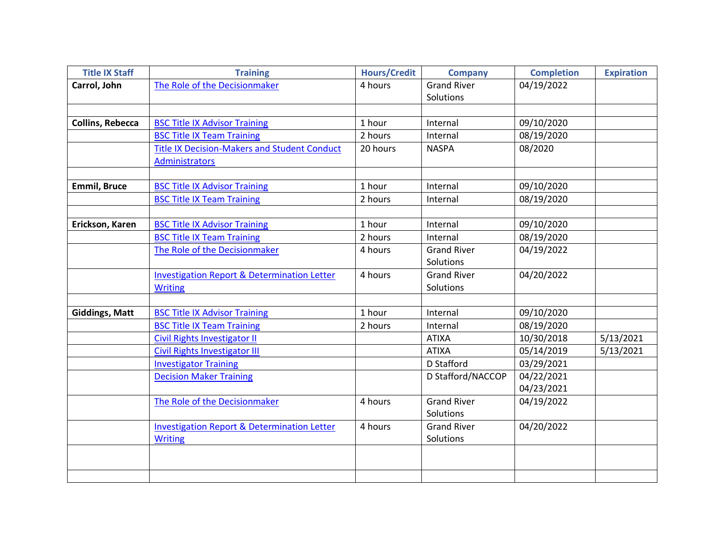| <b>Title IX Staff</b>   | <b>Training</b>                                        | <b>Hours/Credit</b> | <b>Company</b>     | <b>Completion</b> | <b>Expiration</b> |
|-------------------------|--------------------------------------------------------|---------------------|--------------------|-------------------|-------------------|
| Carrol, John            | The Role of the Decisionmaker                          | 4 hours             | <b>Grand River</b> | 04/19/2022        |                   |
|                         |                                                        |                     | Solutions          |                   |                   |
|                         |                                                        |                     |                    |                   |                   |
| <b>Collins, Rebecca</b> | <b>BSC Title IX Advisor Training</b>                   | 1 hour              | Internal           | 09/10/2020        |                   |
|                         | <b>BSC Title IX Team Training</b>                      | 2 hours             | Internal           | 08/19/2020        |                   |
|                         | <b>Title IX Decision-Makers and Student Conduct</b>    | 20 hours            | <b>NASPA</b>       | 08/2020           |                   |
|                         | <b>Administrators</b>                                  |                     |                    |                   |                   |
|                         |                                                        |                     |                    |                   |                   |
| <b>Emmil, Bruce</b>     | <b>BSC Title IX Advisor Training</b>                   | 1 hour              | Internal           | 09/10/2020        |                   |
|                         | <b>BSC Title IX Team Training</b>                      | 2 hours             | Internal           | 08/19/2020        |                   |
|                         |                                                        |                     |                    |                   |                   |
| Erickson, Karen         | <b>BSC Title IX Advisor Training</b>                   | 1 hour              | Internal           | 09/10/2020        |                   |
|                         | <b>BSC Title IX Team Training</b>                      | 2 hours             | Internal           | 08/19/2020        |                   |
|                         | The Role of the Decisionmaker                          | 4 hours             | <b>Grand River</b> | 04/19/2022        |                   |
|                         |                                                        |                     | Solutions          |                   |                   |
|                         | <b>Investigation Report &amp; Determination Letter</b> | 4 hours             | <b>Grand River</b> | 04/20/2022        |                   |
|                         | <b>Writing</b>                                         |                     | Solutions          |                   |                   |
|                         |                                                        |                     |                    |                   |                   |
| <b>Giddings, Matt</b>   | <b>BSC Title IX Advisor Training</b>                   | 1 hour              | Internal           | 09/10/2020        |                   |
|                         | <b>BSC Title IX Team Training</b>                      | 2 hours             | Internal           | 08/19/2020        |                   |
|                         | <b>Civil Rights Investigator II</b>                    |                     | <b>ATIXA</b>       | 10/30/2018        | 5/13/2021         |
|                         | <b>Civil Rights Investigator III</b>                   |                     | <b>ATIXA</b>       | 05/14/2019        | 5/13/2021         |
|                         | <b>Investigator Training</b>                           |                     | D Stafford         | 03/29/2021        |                   |
|                         | <b>Decision Maker Training</b>                         |                     | D Stafford/NACCOP  | 04/22/2021        |                   |
|                         |                                                        |                     |                    | 04/23/2021        |                   |
|                         | The Role of the Decisionmaker                          | 4 hours             | <b>Grand River</b> | 04/19/2022        |                   |
|                         |                                                        |                     | Solutions          |                   |                   |
|                         | <b>Investigation Report &amp; Determination Letter</b> | 4 hours             | <b>Grand River</b> | 04/20/2022        |                   |
|                         | <b>Writing</b>                                         |                     | Solutions          |                   |                   |
|                         |                                                        |                     |                    |                   |                   |
|                         |                                                        |                     |                    |                   |                   |
|                         |                                                        |                     |                    |                   |                   |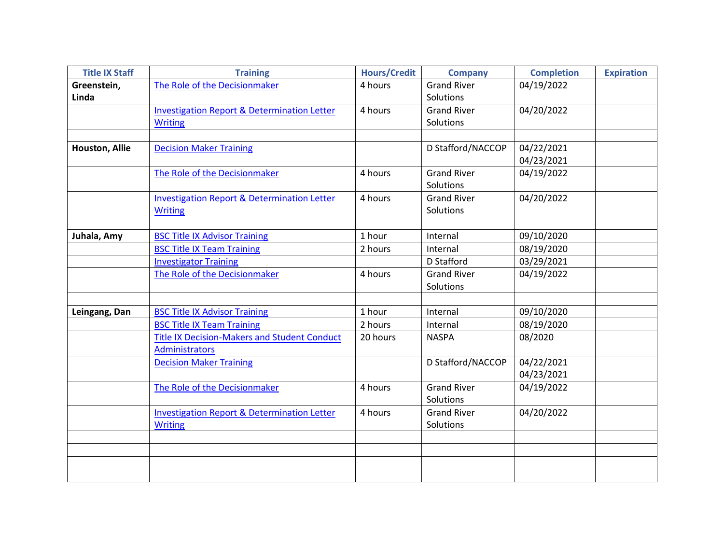| <b>Title IX Staff</b> | <b>Training</b>                                        | <b>Hours/Credit</b> | <b>Company</b>     | <b>Completion</b> | <b>Expiration</b> |
|-----------------------|--------------------------------------------------------|---------------------|--------------------|-------------------|-------------------|
| Greenstein,           | The Role of the Decisionmaker                          | 4 hours             | <b>Grand River</b> | 04/19/2022        |                   |
| Linda                 |                                                        |                     | Solutions          |                   |                   |
|                       | <b>Investigation Report &amp; Determination Letter</b> | 4 hours             | <b>Grand River</b> | 04/20/2022        |                   |
|                       | <b>Writing</b>                                         |                     | Solutions          |                   |                   |
|                       |                                                        |                     |                    |                   |                   |
| Houston, Allie        | <b>Decision Maker Training</b>                         |                     | D Stafford/NACCOP  | 04/22/2021        |                   |
|                       |                                                        |                     |                    | 04/23/2021        |                   |
|                       | The Role of the Decisionmaker                          | 4 hours             | <b>Grand River</b> | 04/19/2022        |                   |
|                       |                                                        |                     | Solutions          |                   |                   |
|                       | <b>Investigation Report &amp; Determination Letter</b> | 4 hours             | <b>Grand River</b> | 04/20/2022        |                   |
|                       | <b>Writing</b>                                         |                     | Solutions          |                   |                   |
|                       |                                                        |                     |                    |                   |                   |
| Juhala, Amy           | <b>BSC Title IX Advisor Training</b>                   | 1 hour              | Internal           | 09/10/2020        |                   |
|                       | <b>BSC Title IX Team Training</b>                      | 2 hours             | Internal           | 08/19/2020        |                   |
|                       | <b>Investigator Training</b>                           |                     | D Stafford         | 03/29/2021        |                   |
|                       | The Role of the Decisionmaker                          | 4 hours             | <b>Grand River</b> | 04/19/2022        |                   |
|                       |                                                        |                     | Solutions          |                   |                   |
|                       |                                                        |                     |                    |                   |                   |
| Leingang, Dan         | <b>BSC Title IX Advisor Training</b>                   | 1 hour              | Internal           | 09/10/2020        |                   |
|                       | <b>BSC Title IX Team Training</b>                      | 2 hours             | Internal           | 08/19/2020        |                   |
|                       | <b>Title IX Decision-Makers and Student Conduct</b>    | 20 hours            | <b>NASPA</b>       | 08/2020           |                   |
|                       | Administrators                                         |                     |                    |                   |                   |
|                       | <b>Decision Maker Training</b>                         |                     | D Stafford/NACCOP  | 04/22/2021        |                   |
|                       |                                                        |                     |                    | 04/23/2021        |                   |
|                       | The Role of the Decisionmaker                          | 4 hours             | <b>Grand River</b> | 04/19/2022        |                   |
|                       |                                                        |                     | Solutions          |                   |                   |
|                       | <b>Investigation Report &amp; Determination Letter</b> | 4 hours             | <b>Grand River</b> | 04/20/2022        |                   |
|                       | <b>Writing</b>                                         |                     | Solutions          |                   |                   |
|                       |                                                        |                     |                    |                   |                   |
|                       |                                                        |                     |                    |                   |                   |
|                       |                                                        |                     |                    |                   |                   |
|                       |                                                        |                     |                    |                   |                   |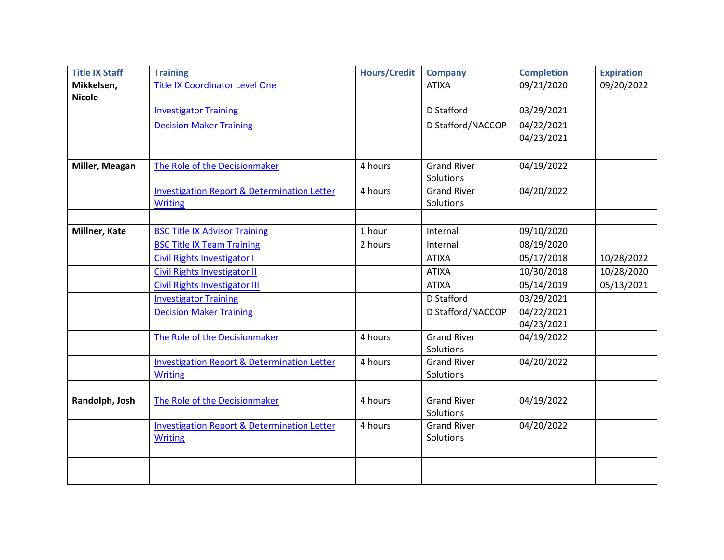| <b>Title IX Staff</b> | <b>Training</b>                                        | <b>Hours/Credit</b> | <b>Company</b>     | <b>Completion</b> | <b>Expiration</b> |
|-----------------------|--------------------------------------------------------|---------------------|--------------------|-------------------|-------------------|
| Mikkelsen,            | <b>Title IX Coordinator Level One</b>                  |                     | <b>ATIXA</b>       | 09/21/2020        | 09/20/2022        |
| <b>Nicole</b>         |                                                        |                     |                    |                   |                   |
|                       | <b>Investigator Training</b>                           |                     | D Stafford         | 03/29/2021        |                   |
|                       | <b>Decision Maker Training</b>                         |                     | D Stafford/NACCOP  | 04/22/2021        |                   |
|                       |                                                        |                     |                    | 04/23/2021        |                   |
|                       |                                                        |                     |                    |                   |                   |
| Miller, Meagan        | The Role of the Decisionmaker                          | 4 hours             | <b>Grand River</b> | 04/19/2022        |                   |
|                       |                                                        |                     | Solutions          |                   |                   |
|                       | <b>Investigation Report &amp; Determination Letter</b> | 4 hours             | <b>Grand River</b> | 04/20/2022        |                   |
|                       | <b>Writing</b>                                         |                     | Solutions          |                   |                   |
|                       |                                                        |                     |                    |                   |                   |
| Millner, Kate         | <b>BSC Title IX Advisor Training</b>                   | 1 hour              | Internal           | 09/10/2020        |                   |
|                       | <b>BSC Title IX Team Training</b>                      | 2 hours             | Internal           | 08/19/2020        |                   |
|                       | <b>Civil Rights Investigator I</b>                     |                     | <b>ATIXA</b>       | 05/17/2018        | 10/28/2022        |
|                       | <b>Civil Rights Investigator II</b>                    |                     | <b>ATIXA</b>       | 10/30/2018        | 10/28/2020        |
|                       | <b>Civil Rights Investigator III</b>                   |                     | <b>ATIXA</b>       | 05/14/2019        | 05/13/2021        |
|                       | <b>Investigator Training</b>                           |                     | D Stafford         | 03/29/2021        |                   |
|                       | <b>Decision Maker Training</b>                         |                     | D Stafford/NACCOP  | 04/22/2021        |                   |
|                       |                                                        |                     |                    | 04/23/2021        |                   |
|                       | The Role of the Decisionmaker                          | 4 hours             | <b>Grand River</b> | 04/19/2022        |                   |
|                       |                                                        |                     | Solutions          |                   |                   |
|                       | <b>Investigation Report &amp; Determination Letter</b> | 4 hours             | <b>Grand River</b> | 04/20/2022        |                   |
|                       | <b>Writing</b>                                         |                     | Solutions          |                   |                   |
|                       |                                                        |                     |                    |                   |                   |
| Randolph, Josh        | The Role of the Decisionmaker                          | 4 hours             | <b>Grand River</b> | 04/19/2022        |                   |
|                       |                                                        |                     | Solutions          |                   |                   |
|                       | <b>Investigation Report &amp; Determination Letter</b> | 4 hours             | <b>Grand River</b> | 04/20/2022        |                   |
|                       | <b>Writing</b>                                         |                     | Solutions          |                   |                   |
|                       |                                                        |                     |                    |                   |                   |
|                       |                                                        |                     |                    |                   |                   |
|                       |                                                        |                     |                    |                   |                   |